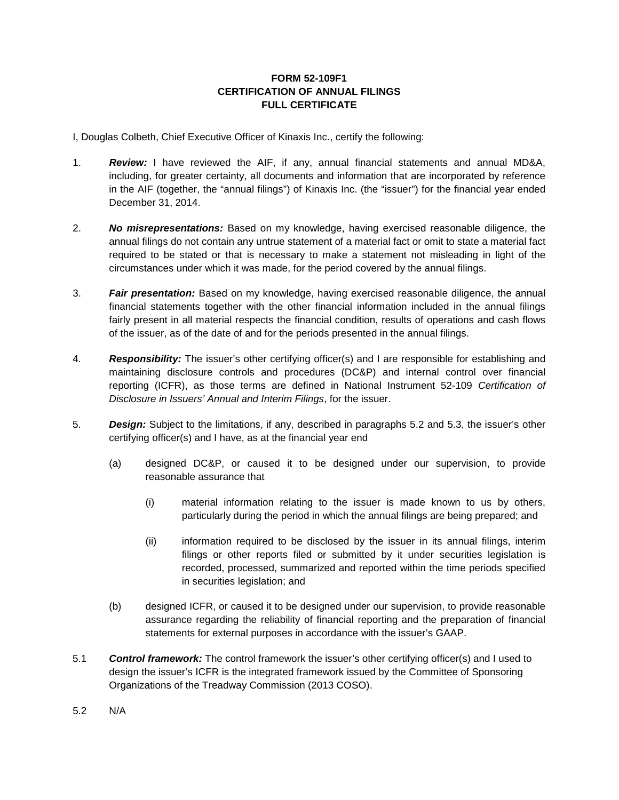## **FORM 52-109F1 CERTIFICATION OF ANNUAL FILINGS FULL CERTIFICATE**

I, Douglas Colbeth, Chief Executive Officer of Kinaxis Inc., certify the following:

- 1. *Review:* I have reviewed the AIF, if any, annual financial statements and annual MD&A, including, for greater certainty, all documents and information that are incorporated by reference in the AIF (together, the "annual filings") of Kinaxis Inc. (the "issuer") for the financial year ended December 31, 2014.
- 2. *No misrepresentations:* Based on my knowledge, having exercised reasonable diligence, the annual filings do not contain any untrue statement of a material fact or omit to state a material fact required to be stated or that is necessary to make a statement not misleading in light of the circumstances under which it was made, for the period covered by the annual filings.
- 3. *Fair presentation:* Based on my knowledge, having exercised reasonable diligence, the annual financial statements together with the other financial information included in the annual filings fairly present in all material respects the financial condition, results of operations and cash flows of the issuer, as of the date of and for the periods presented in the annual filings.
- 4. *Responsibility:* The issuer's other certifying officer(s) and I are responsible for establishing and maintaining disclosure controls and procedures (DC&P) and internal control over financial reporting (ICFR), as those terms are defined in National Instrument 52-109 *Certification of Disclosure in Issuers' Annual and Interim Filings*, for the issuer.
- 5. *Design:* Subject to the limitations, if any, described in paragraphs 5.2 and 5.3, the issuer's other certifying officer(s) and I have, as at the financial year end
	- (a) designed DC&P, or caused it to be designed under our supervision, to provide reasonable assurance that
		- (i) material information relating to the issuer is made known to us by others, particularly during the period in which the annual filings are being prepared; and
		- (ii) information required to be disclosed by the issuer in its annual filings, interim filings or other reports filed or submitted by it under securities legislation is recorded, processed, summarized and reported within the time periods specified in securities legislation; and
	- (b) designed ICFR, or caused it to be designed under our supervision, to provide reasonable assurance regarding the reliability of financial reporting and the preparation of financial statements for external purposes in accordance with the issuer's GAAP.
- 5.1 *Control framework:* The control framework the issuer's other certifying officer(s) and I used to design the issuer's ICFR is the integrated framework issued by the Committee of Sponsoring Organizations of the Treadway Commission (2013 COSO).
- 5.2 N/A